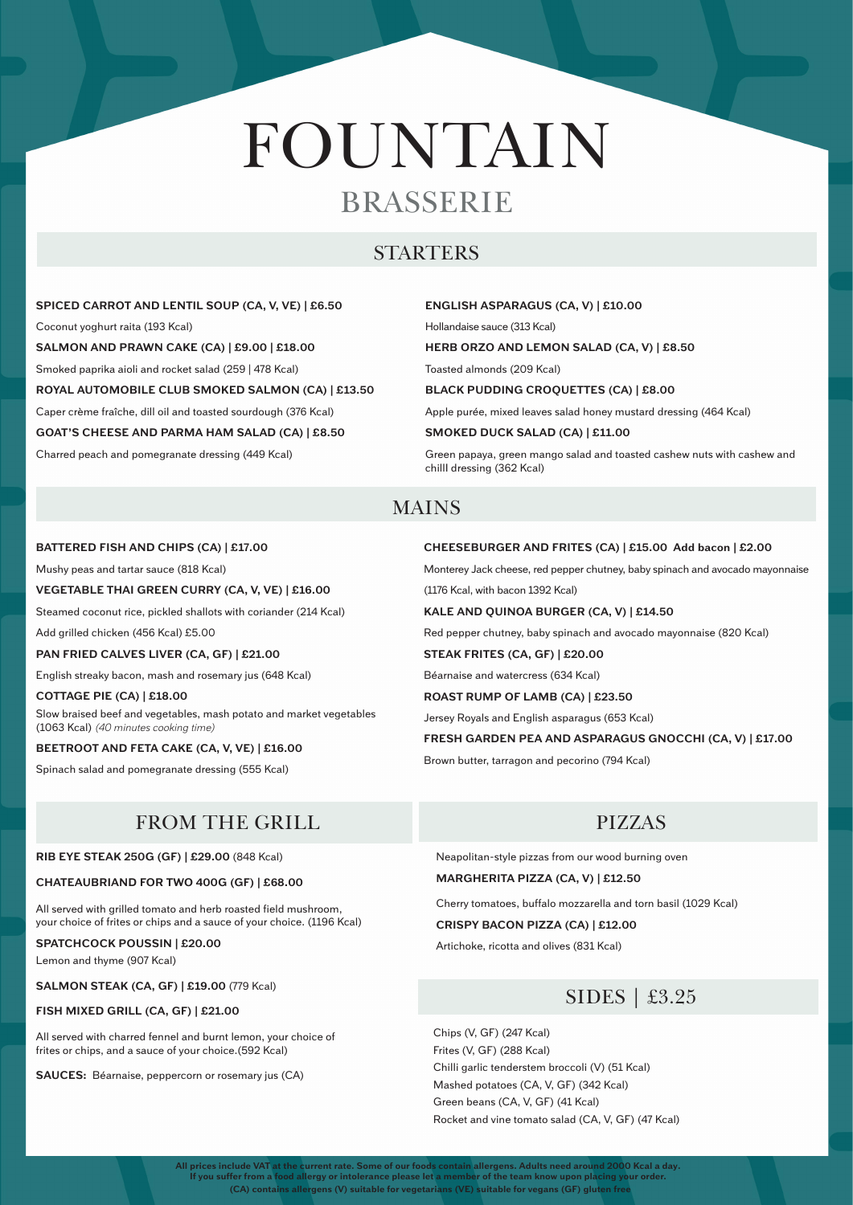**(CA) contains allergens (V) suitable for vegetarians (VE) suitable for vegans (GF) gluten free All prices include VAT at the current rate. Some of our foods contain allergens. Adults need around 2000 Kcal a day. If you suffer from a food allergy or intolerance please let a member of the team know upon placing your order.**

# FOUNTAIN BRASSERIE

## STARTERS

**SPICED CARROT AND LENTIL SOUP (CA, V, VE) | £6.50** Coconut yoghurt raita (193 Kcal) **SALMON AND PRAWN CAKE (CA) | £9.00 | £18.00** Smoked paprika aioli and rocket salad (259 | 478 Kcal) **ROYAL AUTOMOBILE CLUB SMOKED SALMON (CA) | £13.50** Caper crème fraîche, dill oil and toasted sourdough (376 Kcal) **GOAT'S CHEESE AND PARMA HAM SALAD (CA) | £8.50**  Charred peach and pomegranate dressing (449 Kcal)

#### **ENGLISH ASPARAGUS (CA, V) | £10.00**

Hollandaise sauce (313 Kcal)

#### **HERB ORZO AND LEMON SALAD (CA, V) | £8.50**

Toasted almonds (209 Kcal)

**BLACK PUDDING CROQUETTES (CA) | £8.00**

Apple purée, mixed leaves salad honey mustard dressing (464 Kcal)

#### **SMOKED DUCK SALAD (CA) | £11.00**

Green papaya, green mango salad and toasted cashew nuts with cashew and chillI dressing (362 Kcal)

## MAINS

#### **BATTERED FISH AND CHIPS (CA) | £17.00**

Mushy peas and tartar sauce (818 Kcal)

#### **VEGETABLE THAI GREEN CURRY (CA, V, VE) | £16.00**

Steamed coconut rice, pickled shallots with coriander (214 Kcal)

Add grilled chicken (456 Kcal) £5.00

#### **PAN FRIED CALVES LIVER (CA, GF) | £21.00**

English streaky bacon, mash and rosemary jus (648 Kcal)

#### **COTTAGE PIE (CA) | £18.00** Slow braised beef and vegetables, mash potato and market vegetables (1063 Kcal) *(40 minutes cooking time)*

**BEETROOT AND FETA CAKE (CA, V, VE) | £16.00**

Spinach salad and pomegranate dressing (555 Kcal)

## FROM THE GRILL PIZZAS

#### **CHEESEBURGER AND FRITES (CA) | £15.00 Add bacon | £2.00**

Monterey Jack cheese, red pepper chutney, baby spinach and avocado mayonnaise

(1176 Kcal, with bacon 1392 Kcal)

#### **KALE AND QUINOA BURGER (CA, V) | £14.50**

Red pepper chutney, baby spinach and avocado mayonnaise (820 Kcal)

**STEAK FRITES (CA, GF) | £20.00**

Béarnaise and watercress (634 Kcal)

**ROAST RUMP OF LAMB (CA) | £23.50**

Jersey Royals and English asparagus (653 Kcal)

#### **FRESH GARDEN PEA AND ASPARAGUS GNOCCHI (CA, V) | £17.00**

Brown butter, tarragon and pecorino (794 Kcal)

**RIB EYE STEAK 250G (GF) | £29.00** (848 Kcal)

**CHATEAUBRIAND FOR TWO 400G (GF) | £68.00**

All served with grilled tomato and herb roasted field mushroom,

your choice of frites or chips and a sauce of your choice. (1196 Kcal)

#### **SPATCHCOCK POUSSIN | £20.00**

Lemon and thyme (907 Kcal)

#### **SALMON STEAK (CA, GF) | £19.00** (779 Kcal)

### **FISH MIXED GRILL (CA, GF) | £21.00**

All served with charred fennel and burnt lemon, your choice of frites or chips, and a sauce of your choice.(592 Kcal)

**SAUCES:** Béarnaise, peppercorn or rosemary jus (CA)



Neapolitan-style pizzas from our wood burning oven

**MARGHERITA PIZZA (CA, V) | £12.50**

Cherry tomatoes, buffalo mozzarella and torn basil (1029 Kcal)

#### **CRISPY BACON PIZZA (CA) | £12.00**

Artichoke, ricotta and olives (831 Kcal)

Chips (V, GF) (247 Kcal) Frites (V, GF) (288 Kcal) Chilli garlic tenderstem broccoli (V) (51 Kcal) Mashed potatoes (CA, V, GF) (342 Kcal) Green beans (CA, V, GF) (41 Kcal) Rocket and vine tomato salad (CA, V, GF) (47 Kcal)